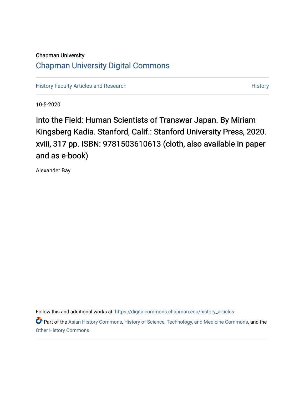# Chapman University [Chapman University Digital Commons](https://digitalcommons.chapman.edu/)

[History Faculty Articles and Research](https://digitalcommons.chapman.edu/history_articles) **History** History

10-5-2020

Into the Field: Human Scientists of Transwar Japan. By Miriam Kingsberg Kadia. Stanford, Calif.: Stanford University Press, 2020. xviii, 317 pp. ISBN: 9781503610613 (cloth, also available in paper and as e-book)

Alexander Bay

Follow this and additional works at: [https://digitalcommons.chapman.edu/history\\_articles](https://digitalcommons.chapman.edu/history_articles?utm_source=digitalcommons.chapman.edu%2Fhistory_articles%2F71&utm_medium=PDF&utm_campaign=PDFCoverPages)

Part of the [Asian History Commons](http://network.bepress.com/hgg/discipline/491?utm_source=digitalcommons.chapman.edu%2Fhistory_articles%2F71&utm_medium=PDF&utm_campaign=PDFCoverPages), [History of Science, Technology, and Medicine Commons](http://network.bepress.com/hgg/discipline/500?utm_source=digitalcommons.chapman.edu%2Fhistory_articles%2F71&utm_medium=PDF&utm_campaign=PDFCoverPages), and the [Other History Commons](http://network.bepress.com/hgg/discipline/508?utm_source=digitalcommons.chapman.edu%2Fhistory_articles%2F71&utm_medium=PDF&utm_campaign=PDFCoverPages)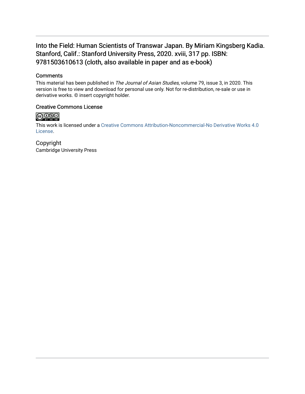# Into the Field: Human Scientists of Transwar Japan. By Miriam Kingsberg Kadia. Stanford, Calif.: Stanford University Press, 2020. xviii, 317 pp. ISBN: 9781503610613 (cloth, also available in paper and as e-book)

#### **Comments**

This material has been published in The Journal of Asian Studies, volume 79, issue 3, in 2020. This version is free to view and download for personal use only. Not for re-distribution, re-sale or use in derivative works. © insert copyright holder.

## Creative Commons License



This work is licensed under a [Creative Commons Attribution-Noncommercial-No Derivative Works 4.0](https://creativecommons.org/licenses/by-nc-nd/4.0/) [License](https://creativecommons.org/licenses/by-nc-nd/4.0/).

Copyright Cambridge University Press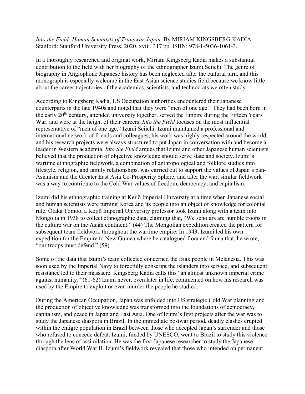### *Into the Field: Human Scientists of Transwar Japan.* By MIRIAM KINGSBERG KADIA. Stanford: Stanford University Press, 2020. xviii, 317 pp. ISBN: 978-1-5036-1061-3.

In a thoroughly researched and original work, Miriam Kingsberg Kadia makes a substantial contribution to the field with her biography of the ethnographer Izumi Seiichi. The genre of biography in Anglophone Japanese history has been neglected after the cultural turn, and this monograph is especially welcome in the East Asian science studies field because we know little about the career trajectories of the academics, scientists, and technocrats we often study.

According to Kingsberg Kadia, US Occupation authorities encountered their Japanese counterparts in the late 1940s and noted that they were "men of one age." They had been born in the early  $20<sup>th</sup>$  century, attended university together, served the Empire during the Fifteen Years War, and were at the height of their careers. *Into the Field* focuses on the most influential representative of "men of one age," Izumi Seiichi. Izumi maintained a professional and international network of friends and colleagues, his work was highly respected around the world, and his research projects were always structured to put Japan in conversation with and become a leader in Western academia. *Into the Field* argues that Izumi and other Japanese human scientists believed that the production of objective knowledge should serve state and society. Izumi's wartime ethnographic fieldwork, a combination of anthropological and folklore studies into lifestyle, religion, and family relationships, was carried out to support the values of Japan's pan-Asianism and the Greater East Asia Co-Prosperity Sphere, and after the war, similar fieldwork was a way to contribute to the Cold War values of freedom, democracy, and capitalism.

Izumi did his ethnographic training at Keijō Imperial University at a time when Japanese social and human scientists were turning Korea and its people into an object of knowledge for colonial rule. Ōtaka Tomoo, a Keijō Imperial University professor took Izumi along with a team into Mongolia in 1938 to collect ethnographic data, claiming that, "We scholars are humble troops in the culture war on the Asian continent." (44) The Mongolian expedition created the pattern for subsequent team fieldwork throughout the wartime empire. In 1943, Izumi led his own expedition for the Empire to New Guinea where he catalogued flora and fauna that, he wrote, "our troops must defend." (59)

Some of the data that Izumi's team collected concerned the Biak people in Melanesia. This was soon used by the Imperial Navy to forcefully conscript the islanders into service, and subsequent resistance led to their massacre. Kingsberg Kadia calls this "an almost unknown imperial crime against humanity." (61-62) Izumi never, even later in life, commented on how his research was used by the Empire to exploit or even murder the people he studied.

During the American Occupation, Japan was enfolded into US strategic Cold War planning and the production of objective knowledge was transformed into the foundations of democracy, capitalism, and peace in Japan and East Asia. One of Izumi's first projects after the war was to study the Japanese diaspora in Brazil. In the immediate postwar period, deadly clashes erupted within the émigré population in Brazil between those who accepted Japan's surrender and those who refused to concede defeat. Izumi, funded by UNESCO, went to Brazil to study this violence through the lens of assimilation. He was the first Japanese researcher to study the Japanese diaspora after World War II. Izumi's fieldwork revealed that those who intended on permanent